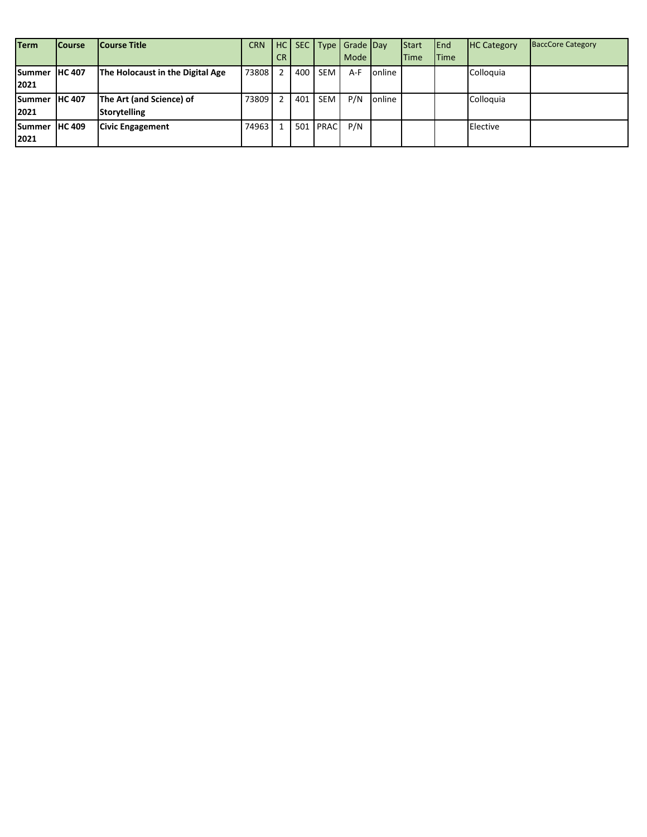| <b>Term</b>    | <b>Course</b>  | <b>Course Title</b>              | <b>CRN</b> | HC        |     |             | SEC Type Grade Day |        | <b>Start</b> | <b>IEnd</b> | <b>HC Category</b> | <b>BaccCore Category</b> |
|----------------|----------------|----------------------------------|------------|-----------|-----|-------------|--------------------|--------|--------------|-------------|--------------------|--------------------------|
|                |                |                                  |            | <b>CR</b> |     |             | Mode               |        | <b>Time</b>  | <b>Time</b> |                    |                          |
| <b>ISummer</b> | <b>IHC 407</b> | The Holocaust in the Digital Age | 73808      |           | 400 | <b>SEM</b>  | A-F                | online |              |             | Colloquia          |                          |
| 2021           |                |                                  |            |           |     |             |                    |        |              |             |                    |                          |
| <b>Summer</b>  | <b>HC 407</b>  | The Art (and Science) of         | 73809      |           | 401 | <b>SEM</b>  | P/N                | online |              |             | Colloquia          |                          |
| 2021           |                | <b>Storytelling</b>              |            |           |     |             |                    |        |              |             |                    |                          |
| Summer         | <b>IHC 409</b> | <b>Civic Engagement</b>          | 74963      |           | 501 | <b>PRAC</b> | P/N                |        |              |             | Elective           |                          |
| 2021           |                |                                  |            |           |     |             |                    |        |              |             |                    |                          |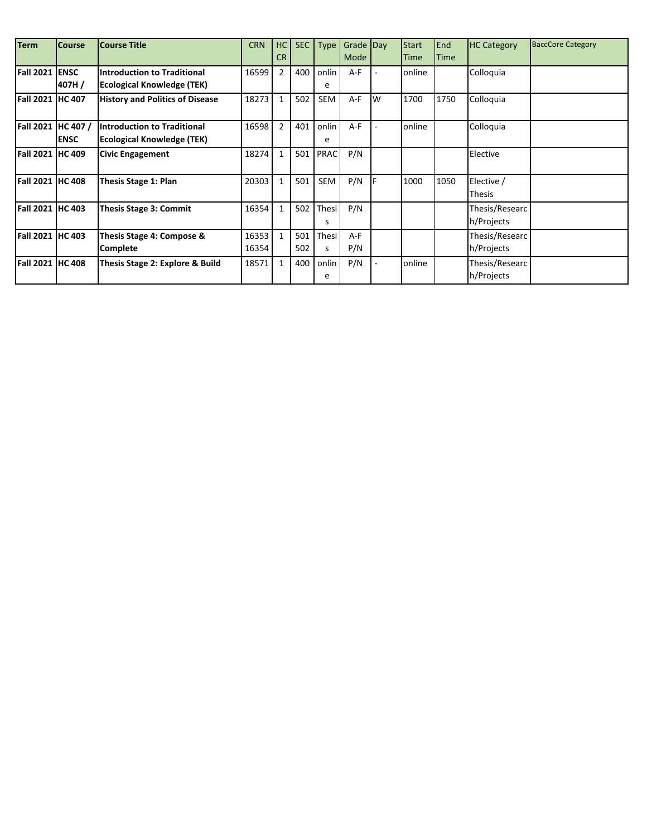| <b>Term</b>             | <b>Course</b> | <b>Course Title</b>                    | <b>CRN</b> | HC             |     |             | SEC Type Grade Day |   | <b>Start</b> | End         | <b>HC Category</b> | <b>BaccCore Category</b> |
|-------------------------|---------------|----------------------------------------|------------|----------------|-----|-------------|--------------------|---|--------------|-------------|--------------------|--------------------------|
|                         |               |                                        |            | <b>CR</b>      |     |             | Mode               |   | <b>Time</b>  | <b>Time</b> |                    |                          |
| <b>Fall 2021 ENSC</b>   |               | <b>Introduction to Traditional</b>     | 16599      | $\overline{2}$ | 400 | onlin       | A-F                |   | online       |             | Colloquia          |                          |
|                         | 407H/         | <b>Ecological Knowledge (TEK)</b>      |            |                |     | e           |                    |   |              |             |                    |                          |
| Fall 2021 HC 407        |               | <b>History and Politics of Disease</b> | 18273      | $\mathbf{1}$   | 502 | SEM         | $A-F$              | W | 1700         | 1750        | Colloquia          |                          |
|                         |               |                                        |            |                |     |             |                    |   |              |             |                    |                          |
| Fall 2021 HC 407 /      |               | <b>Introduction to Traditional</b>     | 16598      | $\overline{2}$ | 401 | onlin       | $A-F$              |   | online       |             | Colloquia          |                          |
|                         | <b>ENSC</b>   | Ecological Knowledge (TEK)             |            |                |     | e           |                    |   |              |             |                    |                          |
| <b>Fall 2021 HC 409</b> |               | <b>Civic Engagement</b>                | 18274      | $\mathbf{1}$   | 501 | <b>PRAC</b> | P/N                |   |              |             | Elective           |                          |
|                         |               |                                        |            |                |     |             |                    |   |              |             |                    |                          |
| <b>Fall 2021 HC 408</b> |               | <b>Thesis Stage 1: Plan</b>            | 20303      | $\mathbf{1}$   | 501 | SEM         | P/N                |   | 1000         | 1050        | Elective /         |                          |
|                         |               |                                        |            |                |     |             |                    |   |              |             | Thesis             |                          |
| <b>Fall 2021 HC 403</b> |               | Thesis Stage 3: Commit                 | 16354      | $\mathbf{1}$   | 502 | Thesi       | P/N                |   |              |             | Thesis/Researc     |                          |
|                         |               |                                        |            |                |     | s           |                    |   |              |             | h/Projects         |                          |
| Fall 2021  HC 403       |               | Thesis Stage 4: Compose &              | 16353      | $\overline{1}$ | 501 | Thesi       | $A-F$              |   |              |             | Thesis/Researc     |                          |
|                         |               | <b>Complete</b>                        | 16354      |                | 502 | S           | P/N                |   |              |             | h/Projects         |                          |
| <b>Fall 2021 HC 408</b> |               | Thesis Stage 2: Explore & Build        | 18571      | $\mathbf{1}$   | 400 | onlin       | P/N                |   | online       |             | Thesis/Researc     |                          |
|                         |               |                                        |            |                |     | e           |                    |   |              |             | h/Projects         |                          |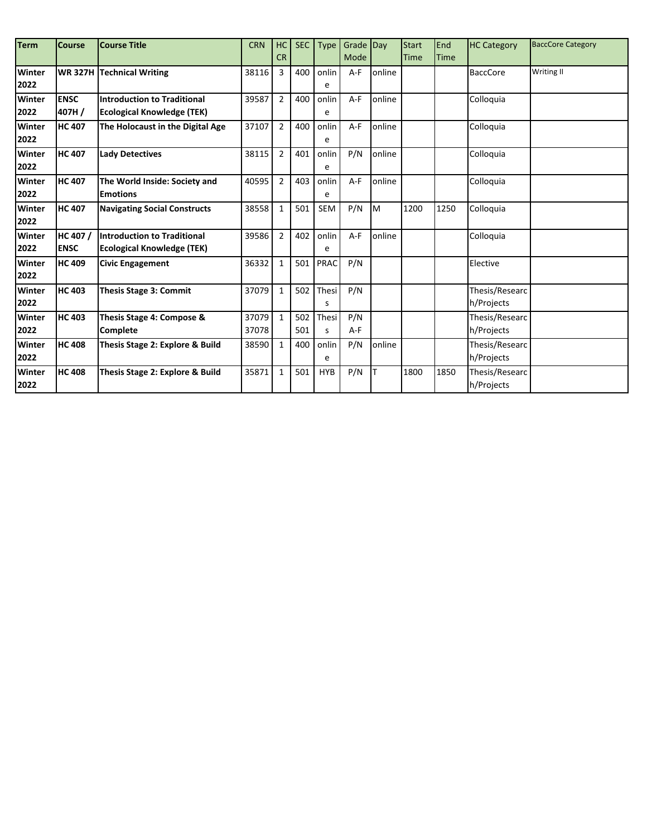| <b>Term</b> | <b>Course</b> | <b>Course Title</b>                 | <b>CRN</b> | <b>HC</b>      | <b>SEC</b> | <b>Type</b> | Grade Day |        | <b>Start</b> | End         | <b>HC Category</b> | <b>BaccCore Category</b> |
|-------------|---------------|-------------------------------------|------------|----------------|------------|-------------|-----------|--------|--------------|-------------|--------------------|--------------------------|
|             |               |                                     |            | <b>CR</b>      |            |             | Mode      |        | Time         | <b>Time</b> |                    |                          |
| Winter      |               | <b>WR 327H Technical Writing</b>    | 38116      | 3              | 400        | onlin       | $A-F$     | online |              |             | <b>BaccCore</b>    | <b>Writing II</b>        |
| 2022        |               |                                     |            |                |            | e           |           |        |              |             |                    |                          |
| Winter      | <b>ENSC</b>   | <b>Introduction to Traditional</b>  | 39587      | $\overline{2}$ | 400        | onlin       | $A-F$     | online |              |             | Colloquia          |                          |
| 2022        | 407H/         | <b>Ecological Knowledge (TEK)</b>   |            |                |            | e           |           |        |              |             |                    |                          |
| Winter      | <b>HC 407</b> | The Holocaust in the Digital Age    | 37107      | $\overline{2}$ | 400        | onlin       | $A-F$     | online |              |             | Colloquia          |                          |
| 2022        |               |                                     |            |                |            | e           |           |        |              |             |                    |                          |
| Winter      | <b>HC 407</b> | <b>Lady Detectives</b>              | 38115      | $\overline{2}$ | 401        | onlin       | P/N       | online |              |             | Colloquia          |                          |
| 2022        |               |                                     |            |                |            | e           |           |        |              |             |                    |                          |
| Winter      | <b>HC 407</b> | The World Inside: Society and       | 40595      | $\overline{2}$ | 403        | onlin       | $A-F$     | online |              |             | Colloquia          |                          |
| 2022        |               | <b>Emotions</b>                     |            |                |            | e           |           |        |              |             |                    |                          |
| Winter      | <b>HC 407</b> | <b>Navigating Social Constructs</b> | 38558      | $\mathbf{1}$   | 501        | <b>SEM</b>  | P/N       | M      | 1200         | 1250        | Colloquia          |                          |
| 2022        |               |                                     |            |                |            |             |           |        |              |             |                    |                          |
| Winter      | HC 407 /      | Introduction to Traditional         | 39586      | $\overline{2}$ | 402        | onlin       | $A-F$     | online |              |             | Colloquia          |                          |
| 2022        | <b>ENSC</b>   | <b>Ecological Knowledge (TEK)</b>   |            |                |            | e           |           |        |              |             |                    |                          |
| Winter      | <b>HC 409</b> | <b>Civic Engagement</b>             | 36332      | $\mathbf{1}$   | 501        | PRAC        | P/N       |        |              |             | Elective           |                          |
| 2022        |               |                                     |            |                |            |             |           |        |              |             |                    |                          |
| Winter      | <b>HC 403</b> | <b>Thesis Stage 3: Commit</b>       | 37079      | $\mathbf{1}$   | 502        | Thesi       | P/N       |        |              |             | Thesis/Researc     |                          |
| 2022        |               |                                     |            |                |            | s           |           |        |              |             | h/Projects         |                          |
| Winter      | <b>HC 403</b> | Thesis Stage 4: Compose &           | 37079      | $\mathbf{1}$   | 502        | Thesi       | P/N       |        |              |             | Thesis/Researc     |                          |
| 2022        |               | <b>Complete</b>                     | 37078      |                | 501        | s           | A-F       |        |              |             | h/Projects         |                          |
| Winter      | <b>HC 408</b> | Thesis Stage 2: Explore & Build     | 38590      | 1              | 400        | onlin       | P/N       | online |              |             | Thesis/Researc     |                          |
| 2022        |               |                                     |            |                |            | e           |           |        |              |             | h/Projects         |                          |
| Winter      | <b>HC 408</b> | Thesis Stage 2: Explore & Build     | 35871      | $\mathbf{1}$   | 501        | <b>HYB</b>  | P/N       |        | 1800         | 1850        | Thesis/Researc     |                          |
| 2022        |               |                                     |            |                |            |             |           |        |              |             | h/Projects         |                          |